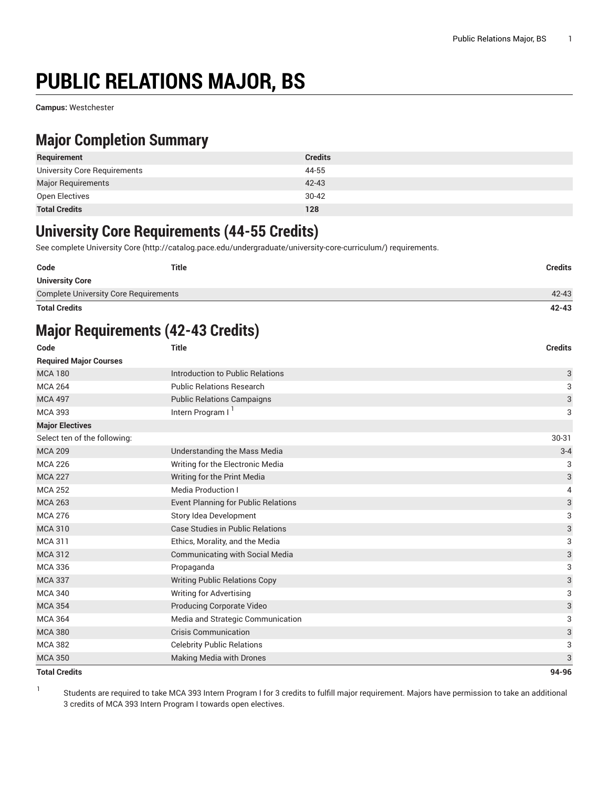# **PUBLIC RELATIONS MAJOR, BS**

**Campus:** Westchester

#### **Major Completion Summary**

| Requirement                  | <b>Credits</b> |
|------------------------------|----------------|
| University Core Requirements | 44-55          |
| <b>Major Requirements</b>    | $42 - 43$      |
| Open Electives               | $30-42$        |
| <b>Total Credits</b>         | 128            |

#### **University Core Requirements (44-55 Credits)**

See complete [University](http://catalog.pace.edu/undergraduate/university-core-curriculum/) Core (<http://catalog.pace.edu/undergraduate/university-core-curriculum/>) requirements.

| Code                                         | <b>Title</b> | <b>Credits</b> |
|----------------------------------------------|--------------|----------------|
| <b>University Core</b>                       |              |                |
| <b>Complete University Core Requirements</b> |              | 42-43          |

**Total Credits 42-43**

### **Major Requirements (42-43 Credits)**

| Code                          | <b>Title</b>                               | <b>Credits</b> |
|-------------------------------|--------------------------------------------|----------------|
| <b>Required Major Courses</b> |                                            |                |
| <b>MCA 180</b>                | Introduction to Public Relations           | 3              |
| <b>MCA 264</b>                | <b>Public Relations Research</b>           | 3              |
| <b>MCA 497</b>                | <b>Public Relations Campaigns</b>          | 3              |
| <b>MCA 393</b>                | Intern Program I <sup>1</sup>              | 3              |
| <b>Major Electives</b>        |                                            |                |
| Select ten of the following:  |                                            | 30-31          |
| <b>MCA 209</b>                | Understanding the Mass Media               | $3 - 4$        |
| <b>MCA 226</b>                | Writing for the Electronic Media           | 3              |
| <b>MCA 227</b>                | Writing for the Print Media                | 3              |
| <b>MCA 252</b>                | <b>Media Production I</b>                  | 4              |
| <b>MCA 263</b>                | <b>Event Planning for Public Relations</b> | 3              |
| <b>MCA 276</b>                | Story Idea Development                     | 3              |
| <b>MCA 310</b>                | <b>Case Studies in Public Relations</b>    | 3              |
| <b>MCA 311</b>                | Ethics, Morality, and the Media            | 3              |
| <b>MCA 312</b>                | <b>Communicating with Social Media</b>     | 3              |
| <b>MCA 336</b>                | Propaganda                                 | 3              |
| <b>MCA 337</b>                | <b>Writing Public Relations Copy</b>       | 3              |
| <b>MCA 340</b>                | <b>Writing for Advertising</b>             | 3              |
| <b>MCA 354</b>                | Producing Corporate Video                  | 3              |
| <b>MCA 364</b>                | Media and Strategic Communication          | 3              |
| <b>MCA 380</b>                | <b>Crisis Communication</b>                | 3              |
| <b>MCA 382</b>                | <b>Celebrity Public Relations</b>          | 3              |
| <b>MCA 350</b>                | <b>Making Media with Drones</b>            | 3              |
| <b>Total Credits</b>          |                                            | 94-96          |

1 Students are required to take MCA 393 Intern Program I for 3 credits to fulfill major requirement. Majors have permission to take an additional 3 credits of MCA 393 Intern Program I towards open electives.